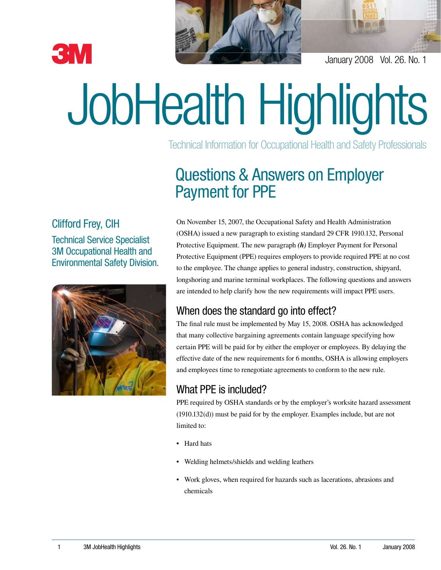



January 2008 Vol. 26. No. 1

# JobHealth Highlights

Technical Information for Occupational Health and Safety Professionals

## Questions & Answers on Employer Payment for PPE

#### Clifford Frey, CIH

Technical Service Specialist 3M Occupational Health and Environmental Safety Division.



On November 15, 2007, the Occupational Safety and Health Administration (OSHA) issued a new paragraph to existing standard 29 CFR 1910.132, Personal Protective Equipment. The new paragraph *(h)* Employer Payment for Personal Protective Equipment (PPE) requires employers to provide required PPE at no cost to the employee. The change applies to general industry, construction, shipyard, longshoring and marine terminal workplaces. The following questions and answers are intended to help clarify how the new requirements will impact PPE users.

### When does the standard go into effect?

The final rule must be implemented by May 15, 2008. OSHA has acknowledged that many collective bargaining agreements contain language specifying how certain PPE will be paid for by either the employer or employees. By delaying the effective date of the new requirements for 6 months, OSHA is allowing employers and employees time to renegotiate agreements to conform to the new rule.

#### What PPE is included?

PPE required by OSHA standards or by the employer's worksite hazard assessment (1910.132(d)) must be paid for by the employer. Examples include, but are not limited to:

- Hard hats
- Welding helmets/shields and welding leathers
- Work gloves, when required for hazards such as lacerations, abrasions and chemicals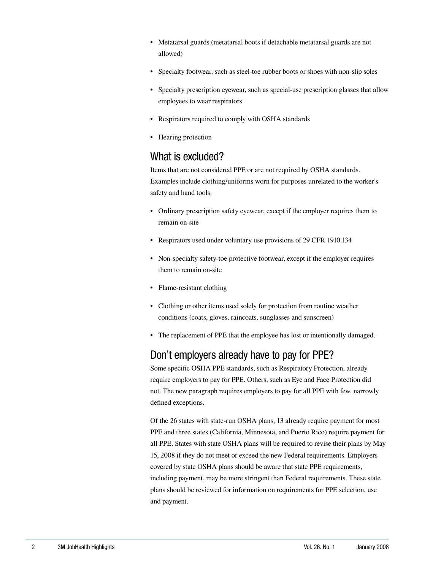- Metatarsal guards (metatarsal boots if detachable metatarsal guards are not allowed)
- Specialty footwear, such as steel-toe rubber boots or shoes with non-slip soles
- Specialty prescription eyewear, such as special-use prescription glasses that allow employees to wear respirators
- Respirators required to comply with OSHA standards
- Hearing protection

#### What is excluded?

Items that are not considered PPE or are not required by OSHA standards. Examples include clothing/uniforms worn for purposes unrelated to the worker's safety and hand tools.

- Ordinary prescription safety eyewear, except if the employer requires them to remain on-site
- Respirators used under voluntary use provisions of 29 CFR 1910.134
- Non-specialty safety-toe protective footwear, except if the employer requires them to remain on-site
- Flame-resistant clothing
- Clothing or other items used solely for protection from routine weather conditions (coats, gloves, raincoats, sunglasses and sunscreen)
- The replacement of PPE that the employee has lost or intentionally damaged.

### Don't employers already have to pay for PPE?

Some specific OSHA PPE standards, such as Respiratory Protection, already require employers to pay for PPE. Others, such as Eye and Face Protection did not. The new paragraph requires employers to pay for all PPE with few, narrowly defined exceptions.

Of the 26 states with state-run OSHA plans, 13 already require payment for most PPE and three states (California, Minnesota, and Puerto Rico) require payment for all PPE. States with state OSHA plans will be required to revise their plans by May 15, 2008 if they do not meet or exceed the new Federal requirements. Employers covered by state OSHA plans should be aware that state PPE requirements, including payment, may be more stringent than Federal requirements. These state plans should be reviewed for information on requirements for PPE selection, use and payment.